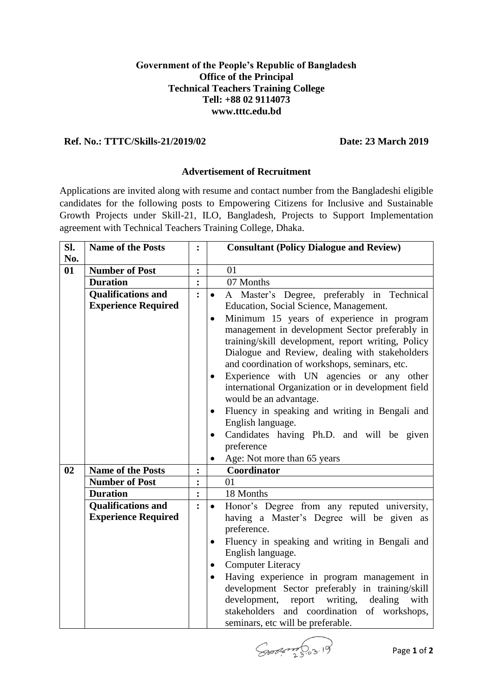## **Government of the People's Republic of Bangladesh Office of the Principal Technical Teachers Training College Tell: +88 02 9114073 www.tttc.edu.bd**

## **Ref. No.: TTTC/Skills-21/2019/02 Date: 23 March 2019**

## **Advertisement of Recruitment**

Applications are invited along with resume and contact number from the Bangladeshi eligible candidates for the following posts to Empowering Citizens for Inclusive and Sustainable Growth Projects under Skill-21, ILO, Bangladesh, Projects to Support Implementation agreement with Technical Teachers Training College, Dhaka.

| SI. | <b>Name of the Posts</b>   | $\ddot{\cdot}$ |           | <b>Consultant (Policy Dialogue and Review)</b>     |
|-----|----------------------------|----------------|-----------|----------------------------------------------------|
| No. |                            |                |           |                                                    |
| 01  | <b>Number of Post</b>      | $\ddot{\cdot}$ |           | 01                                                 |
|     | <b>Duration</b>            |                |           | 07 Months                                          |
|     | <b>Qualifications and</b>  | $\ddot{\cdot}$ | $\bullet$ | A Master's Degree, preferably in Technical         |
|     | <b>Experience Required</b> |                |           | Education, Social Science, Management.             |
|     |                            |                | $\bullet$ | Minimum 15 years of experience in program          |
|     |                            |                |           | management in development Sector preferably in     |
|     |                            |                |           | training/skill development, report writing, Policy |
|     |                            |                |           | Dialogue and Review, dealing with stakeholders     |
|     |                            |                |           | and coordination of workshops, seminars, etc.      |
|     |                            |                | $\bullet$ | Experience with UN agencies or any other           |
|     |                            |                |           | international Organization or in development field |
|     |                            |                |           | would be an advantage.                             |
|     |                            |                |           | Fluency in speaking and writing in Bengali and     |
|     |                            |                |           | English language.                                  |
|     |                            |                | $\bullet$ | Candidates having Ph.D. and will be given          |
|     |                            |                |           | preference                                         |
|     |                            |                |           | Age: Not more than 65 years                        |
| 02  | <b>Name of the Posts</b>   | $\ddot{\cdot}$ |           | Coordinator                                        |
|     | <b>Number of Post</b>      | $\ddot{\cdot}$ |           | 01                                                 |
|     | <b>Duration</b>            |                |           | 18 Months                                          |
|     | <b>Qualifications and</b>  | $\ddot{\cdot}$ | $\bullet$ | Honor's Degree from any reputed university,        |
|     | <b>Experience Required</b> |                |           | having a Master's Degree will be given as          |
|     |                            |                |           | preference.                                        |
|     |                            |                | $\bullet$ | Fluency in speaking and writing in Bengali and     |
|     |                            |                |           | English language.                                  |
|     |                            |                | $\bullet$ | <b>Computer Literacy</b>                           |
|     |                            |                | $\bullet$ | Having experience in program management in         |
|     |                            |                |           | development Sector preferably in training/skill    |
|     |                            |                |           | development, report<br>writing, dealing with       |
|     |                            |                |           | stakeholders and coordination of workshops,        |
|     |                            |                |           | seminars, etc will be preferable.                  |

Soon S.o.3.19